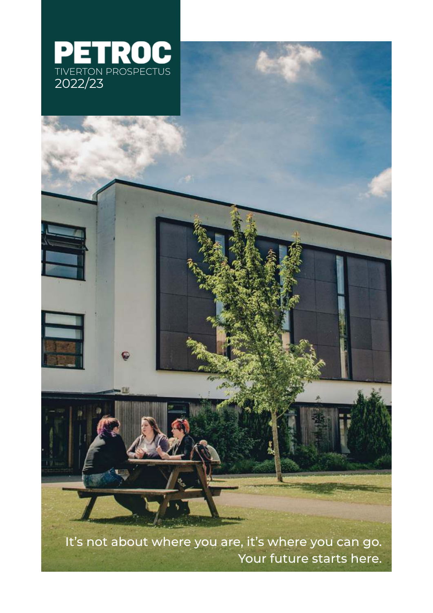

It's not about where you are, it's where you can go. Your future starts here.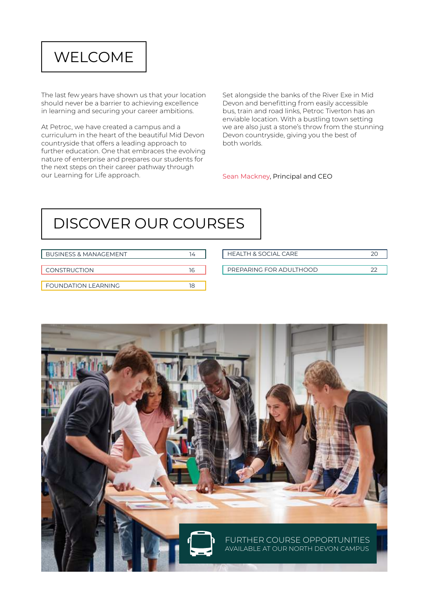## WELCOME

The last few years have shown us that your location should never be a barrier to achieving excellence in learning and securing your career ambitions.

At Petroc, we have created a campus and a curriculum in the heart of the beautiful Mid Devon countryside that offers a leading approach to further education. One that embraces the evolving nature of enterprise and prepares our students for the next steps on their career pathway through our Learning for Life approach.

Set alongside the banks of the River Exe in Mid Devon and benefitting from easily accessible bus, train and road links, Petroc Tiverton has an enviable location. With a bustling town setting we are also just a stone's throw from the stunning Devon countryside, giving you the best of both worlds.

#### Sean Mackney, Principal and CEO

# DISCOVER OUR COURSES

| <b>BUSINESS &amp; MANAGEMENT</b> | 14 | <b>HEALTH &amp; SOCIAL CARE</b> | 20     |
|----------------------------------|----|---------------------------------|--------|
| <b>CONSTRUCTION</b>              | 16 | PREPARING FOR ADULTHOOD         | $\sim$ |
| <b>FOUNDATION LEARNING</b>       | 18 |                                 |        |

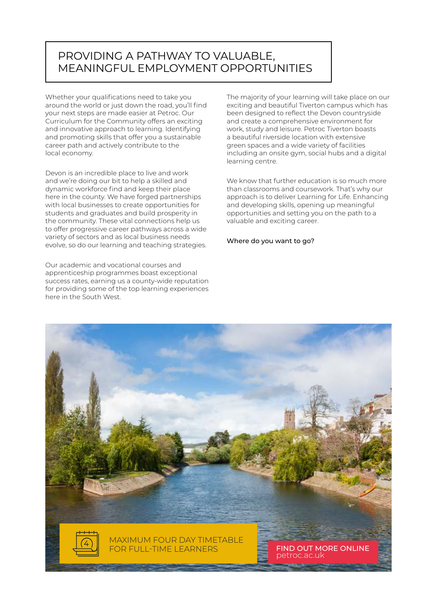### PROVIDING A PATHWAY TO VALUABLE, MEANINGFUL EMPLOYMENT OPPORTUNITIES

Whether your qualifications need to take you around the world or just down the road, you'll find your next steps are made easier at Petroc. Our Curriculum for the Community offers an exciting and innovative approach to learning. Identifying and promoting skills that offer you a sustainable career path and actively contribute to the local economy.

Devon is an incredible place to live and work and we're doing our bit to help a skilled and dynamic workforce find and keep their place here in the county. We have forged partnerships with local businesses to create opportunities for students and graduates and build prosperity in the community. These vital connections help us to offer progressive career pathways across a wide variety of sectors and as local business needs evolve, so do our learning and teaching strategies.

Our academic and vocational courses and apprenticeship programmes boast exceptional success rates, earning us a county-wide reputation for providing some of the top learning experiences here in the South West.

The majority of your learning will take place on our exciting and beautiful Tiverton campus which has been designed to reflect the Devon countryside and create a comprehensive environment for work, study and leisure. Petroc Tiverton boasts a beautiful riverside location with extensive green spaces and a wide variety of facilities including an onsite gym, social hubs and a digital learning centre.

We know that further education is so much more than classrooms and coursework. That's why our approach is to deliver Learning for Life. Enhancing and developing skills, opening up meaningful opportunities and setting you on the path to a valuable and exciting career.

Where do you want to go?

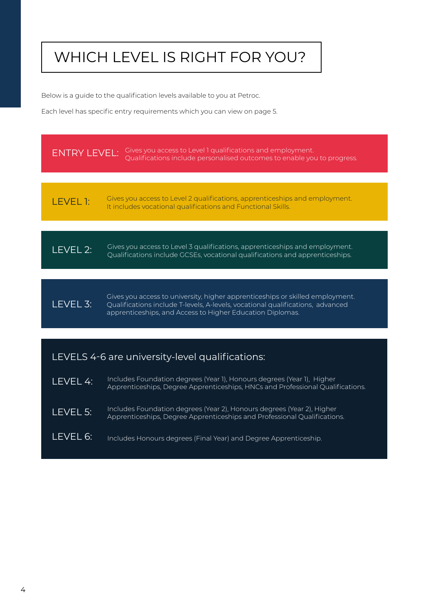# WHICH LEVEL IS RIGHT FOR YOU?

Below is a guide to the qualification levels available to you at Petroc.

Each level has specific entry requirements which you can view on page 5.



LEVEL 3: Gives you access to university, higher apprenticeships or skilled employment. Qualifications include T-levels, A-levels, vocational qualifications, advanced apprenticeships, and Access to Higher Education Diplomas.

#### LEVELS 4-6 are university-level qualifications:

LEVEL 4: LEVEL 5: LEVEL 6: Includes Foundation degrees (Year 2), Honours degrees (Year 2), Higher Apprenticeships, Degree Apprenticeships and Professional Qualifications. Includes Honours degrees (Final Year) and Degree Apprenticeship. Includes Foundation degrees (Year 1), Honours degrees (Year 1), Higher Apprenticeships, Degree Apprenticeships, HNCs and Professional Qualifications.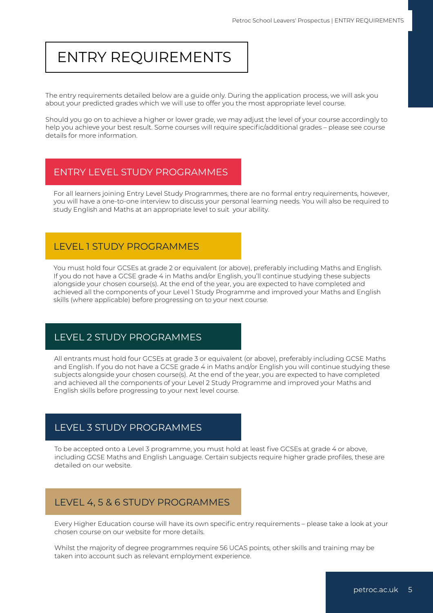## ENTRY REQUIREMENTS

The entry requirements detailed below are a guide only. During the application process, we will ask you about your predicted grades which we will use to offer you the most appropriate level course.

Should you go on to achieve a higher or lower grade, we may adjust the level of your course accordingly to help you achieve your best result. Some courses will require specific/additional grades – please see course details for more information.

#### ENTRY LEVEL STUDY PROGRAMMES

For all learners joining Entry Level Study Programmes, there are no formal entry requirements, however, you will have a one-to-one interview to discuss your personal learning needs. You will also be required to study English and Maths at an appropriate level to suit your ability.

#### LEVEL 1 STUDY PROGRAMMES

You must hold four GCSEs at grade 2 or equivalent (or above), preferably including Maths and English. If you do not have a GCSE grade 4 in Maths and/or English, you'll continue studying these subjects alongside your chosen course(s). At the end of the year, you are expected to have completed and achieved all the components of your Level 1 Study Programme and improved your Maths and English skills (where applicable) before progressing on to your next course.

### LEVEL 2 STUDY PROGRAMMES

All entrants must hold four GCSEs at grade 3 or equivalent (or above), preferably including GCSE Maths and English. If you do not have a GCSE grade 4 in Maths and/or English you will continue studying these subjects alongside your chosen course(s). At the end of the year, you are expected to have completed and achieved all the components of your Level 2 Study Programme and improved your Maths and English skills before progressing to your next level course.

#### LEVEL 3 STUDY PROGRAMMES

To be accepted onto a Level 3 programme, you must hold at least five GCSEs at grade 4 or above, including GCSE Maths and English Language. Certain subjects require higher grade profiles, these are detailed on our website.

## LEVEL 4, 5 & 6 STUDY PROGRAMMES

Every Higher Education course will have its own specific entry requirements – please take a look at your chosen course on our website for more details.

Whilst the majority of degree programmes require 56 UCAS points, other skills and training may be taken into account such as relevant employment experience.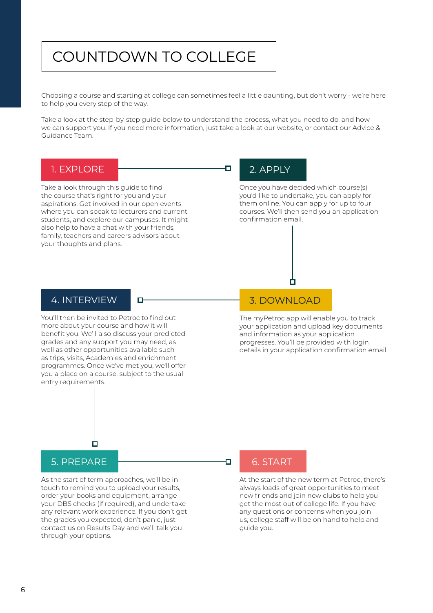## COUNTDOWN TO COLLEGE

Choosing a course and starting at college can sometimes feel a little daunting, but don't worry - we're here to help you every step of the way.

Take a look at the step-by-step guide below to understand the process, what you need to do, and how we can support you. If you need more information, just take a look at our website, or contact our Advice & Guidance Team.

Ò

#### 1. EXPLORE

Take a look through this guide to find the course that's right for you and your aspirations. Get involved in our open events where you can speak to lecturers and current students, and explore our campuses. It might also help to have a chat with your friends, family, teachers and careers advisors about your thoughts and plans.

### 2. APPLY

Once you have decided which course(s) you'd like to undertake, you can apply for them online. You can apply for up to four courses. We'll then send you an application confirmation email.

# 4. INTERVIEW

You'll then be invited to Petroc to find out more about your course and how it will benefit you. We'll also discuss your predicted grades and any support you may need, as well as other opportunities available such as trips, visits, Academies and enrichment programmes. Once we've met you, we'll offer you a place on a course, subject to the usual entry requirements.

#### 3. DOWNLOAD

The myPetroc app will enable you to track your application and upload key documents and information as your application progresses. You'll be provided with login details in your application confirmation email.



#### 5. PREPARE

As the start of term approaches, we'll be in touch to remind you to upload your results, order your books and equipment, arrange your DBS checks (if required), and undertake any relevant work experience. If you don't get the grades you expected, don't panic, just contact us on Results Day and we'll talk you through your options.



Ð

At the start of the new term at Petroc, there's always loads of great opportunities to meet new friends and join new clubs to help you get the most out of college life. If you have any questions or concerns when you join us, college staff will be on hand to help and guide you.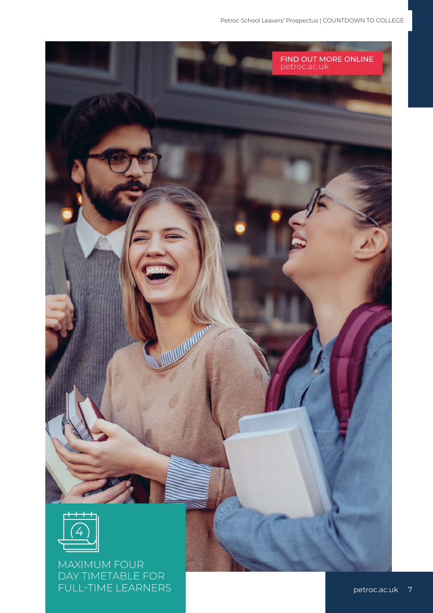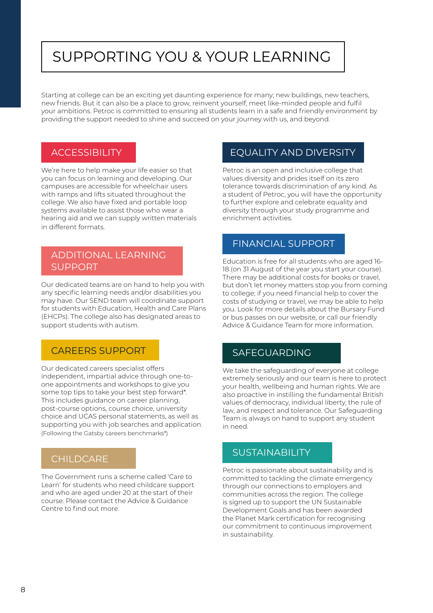# SUPPORTING YOU & YOUR LEARNING

Starting at college can be an exciting yet daunting experience for many; new buildings, new teachers, new friends. But it can also be a place to grow, reinvent yourself, meet like-minded people and fulfil your ambitions. Petroc is committed to ensuring all students learn in a safe and friendly environment by providing the support needed to shine and succeed on your journey with us, and beyond.

#### **ACCESSIBILITY**

We're here to help make your life easier so that you can focus on learning and developing. Our campuses are accessible for wheelchair users with ramps and lifts situated throughout the college. We also have fixed and portable loop systems available to assist those who wear a hearing aid and we can supply written materials in different formats.

#### ADDITIONAL LEARNING SUPPORT

Our dedicated teams are on hand to help you with any specific learning needs and/or disabilities you may have. Our SEND team will coordinate support for students with Education, Health and Care Plans (EHCPs). The college also has designated areas to support students with autism.

#### CAREERS SUPPORT

Our dedicated careers specialist offers independent, impartial advice through one-toone appointments and workshops to give you some top tips to take your best step forward\*. This includes guidance on career planning, post-course options, course choice, university choice and UCAS personal statements, as well as supporting you with job searches and application. (Following the Gatsby careers benchmarks\*)

#### **CHILDCARE**

The Government runs a scheme called 'Care to Learn' for students who need childcare support and who are aged under 20 at the start of their course. Please contact the Advice & Guidance Centre to find out more.

#### EQUALITY AND DIVERSITY

Petroc is an open and inclusive college that values diversity and prides itself on its zero tolerance towards discrimination of any kind. As a student of Petroc, you will have the opportunity to further explore and celebrate equality and diversity through your study programme and enrichment activities.

#### FINANCIAL SUPPORT

Education is free for all students who are aged 16- 18 (on 31 August of the year you start your course). There may be additional costs for books or travel, but don't let money matters stop you from coming to college; if you need financial help to cover the costs of studying or travel, we may be able to help you. Look for more details about the Bursary Fund or bus passes on our website, or call our friendly Advice & Guidance Team for more information.

#### SAFEGUARDING

We take the safeguarding of everyone at college extremely seriously and our team is here to protect your health, wellbeing and human rights. We are also proactive in instilling the fundamental British values of democracy, individual liberty, the rule of law, and respect and tolerance. Our Safeguarding Team is always on hand to support any student in need.

#### SUSTAINABILITY

Petroc is passionate about sustainability and is committed to tackling the climate emergency through our connections to employers and communities across the region. The college is signed up to support the UN Sustainable Development Goals and has been awarded the Planet Mark certification for recognising our commitment to continuous improvement in sustainability.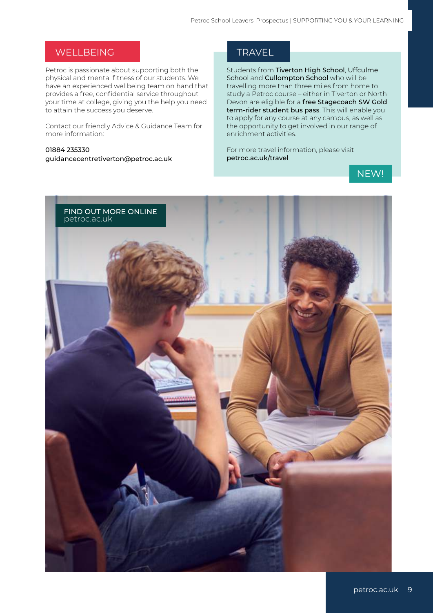#### WELLBEING

Petroc is passionate about supporting both the physical and mental fitness of our students. We have an experienced wellbeing team on hand that provides a free, confidential service throughout your time at college, giving you the help you need to attain the success you deserve.

Contact our friendly Advice & Guidance Team for more information:

01884 235330 guidancecentretiverton@petroc.ac.uk

#### **TRAVEL**

Students from Tiverton High School, Uffculme School and Cullompton School who will be travelling more than three miles from home to study a Petroc course – either in Tiverton or North Devon are eligible for a free Stagecoach SW Gold term-rider student bus pass. This will enable you to apply for any course at any campus, as well as the opportunity to get involved in our range of enrichment activities.

For more travel information, please visit petroc.ac.uk/travel



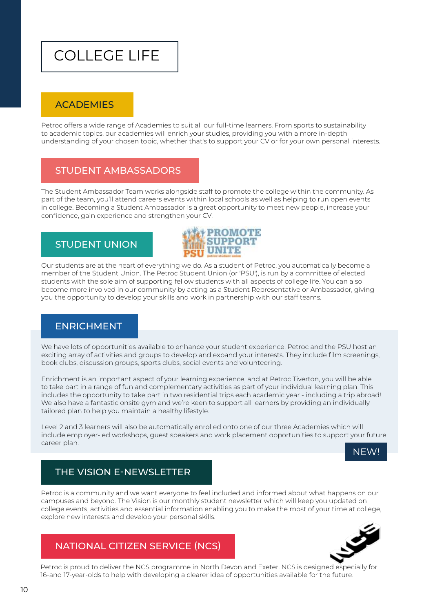## COLLEGE LIFE

#### **ACADEMIES**

Petroc offers a wide range of Academies to suit all our full-time learners. From sports to sustainability to academic topics, our academies will enrich your studies, providing you with a more in-depth understanding of your chosen topic, whether that's to support your CV or for your own personal interests.

#### STUDENT AMBASSADORS

The Student Ambassador Team works alongside staff to promote the college within the community. As part of the team, you'll attend careers events within local schools as well as helping to run open events in college. Becoming a Student Ambassador is a great opportunity to meet new people, increase your confidence, gain experience and strengthen your CV.

### STUDENT UNION



Our students are at the heart of everything we do. As a student of Petroc, you automatically become a member of the Student Union. The Petroc Student Union (or 'PSU'), is run by a committee of elected students with the sole aim of supporting fellow students with all aspects of college life. You can also become more involved in our community by acting as a Student Representative or Ambassador, giving you the opportunity to develop your skills and work in partnership with our staff teams.

#### ENRICHMENT

We have lots of opportunities available to enhance your student experience. Petroc and the PSU host an exciting array of activities and groups to develop and expand your interests. They include film screenings, book clubs, discussion groups, sports clubs, social events and volunteering.

Enrichment is an important aspect of your learning experience, and at Petroc Tiverton, you will be able to take part in a range of fun and complementary activities as part of your individual learning plan. This includes the opportunity to take part in two residential trips each academic year - including a trip abroad! We also have a fantastic onsite gym and we're keen to support all learners by providing an individually tailored plan to help you maintain a healthy lifestyle.

Level 2 and 3 learners will also be automatically enrolled onto one of our three Academies which will include employer-led workshops, guest speakers and work placement opportunities to support your future career plan.



## THE VISION E-NEWSLETTER

Petroc is a community and we want everyone to feel included and informed about what happens on our campuses and beyond. The Vision is our monthly student newsletter which will keep you updated on college events, activities and essential information enabling you to make the most of your time at college, explore new interests and develop your personal skills.

## NATIONAL CITIZEN SERVICE (NCS)



Petroc is proud to deliver the NCS programme in North Devon and Exeter. NCS is designed especially for 16-and 17-year-olds to help with developing a clearer idea of opportunities available for the future.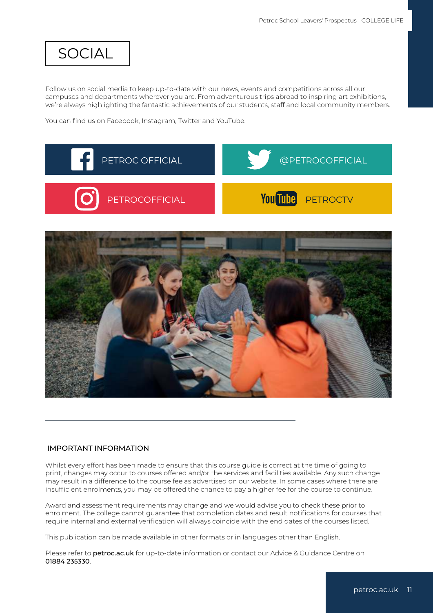## SOCIAL

Follow us on social media to keep up-to-date with our news, events and competitions across all our campuses and departments wherever you are. From adventurous trips abroad to inspiring art exhibitions, we're always highlighting the fantastic achievements of our students, staff and local community members.

You can find us on Facebook, Instagram, Twitter and YouTube.



#### IMPORTANT INFORMATION

Whilst every effort has been made to ensure that this course guide is correct at the time of going to print, changes may occur to courses offered and/or the services and facilities available. Any such change may result in a difference to the course fee as advertised on our website. In some cases where there are insufficient enrolments, you may be offered the chance to pay a higher fee for the course to continue.

Award and assessment requirements may change and we would advise you to check these prior to enrolment. The college cannot guarantee that completion dates and result notifications for courses that require internal and external verification will always coincide with the end dates of the courses listed.

This publication can be made available in other formats or in languages other than English.

Please refer to petroc.ac.uk for up-to-date information or contact our Advice & Guidance Centre on 01884 235330.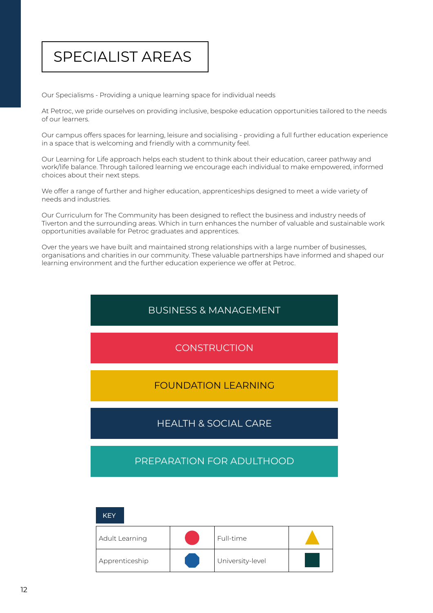## SPECIALIST AREAS

Our Specialisms - Providing a unique learning space for individual needs

At Petroc, we pride ourselves on providing inclusive, bespoke education opportunities tailored to the needs of our learners.

Our campus offers spaces for learning, leisure and socialising - providing a full further education experience in a space that is welcoming and friendly with a community feel.

Our Learning for Life approach helps each student to think about their education, career pathway and work/life balance. Through tailored learning we encourage each individual to make empowered, informed choices about their next steps.

We offer a range of further and higher education, apprenticeships designed to meet a wide variety of needs and industries.

Our Curriculum for The Community has been designed to reflect the business and industry needs of Tiverton and the surrounding areas. Which in turn enhances the number of valuable and sustainable work opportunities available for Petroc graduates and apprentices.

Over the years we have built and maintained strong relationships with a large number of businesses, organisations and charities in our community. These valuable partnerships have informed and shaped our learning environment and the further education experience we offer at Petroc.

### BUSINESS & MANAGEMENT

### **CONSTRUCTION**

#### FOUNDATION LEARNING

### HEALTH & SOCIAL CARE

#### PREPARATION FOR ADULTHOOD

| <b>KEY</b>     |                  |  |
|----------------|------------------|--|
| Adult Learning | Full-time        |  |
| Apprenticeship | University-level |  |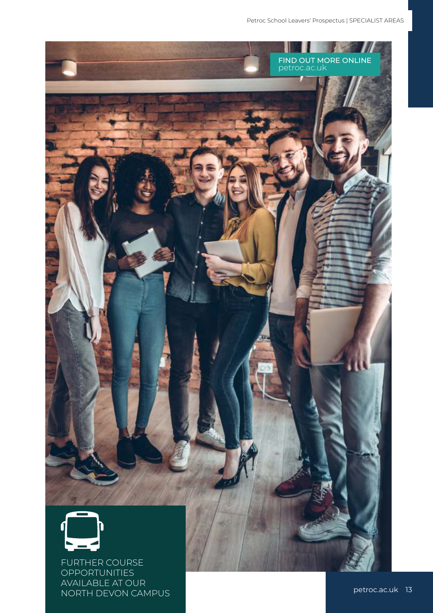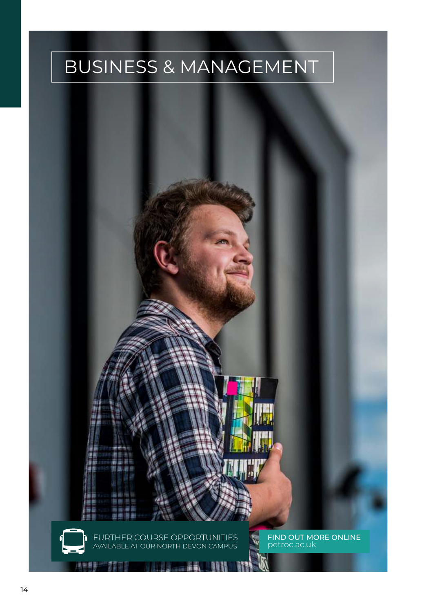# BUSINESS & MANAGEMENT

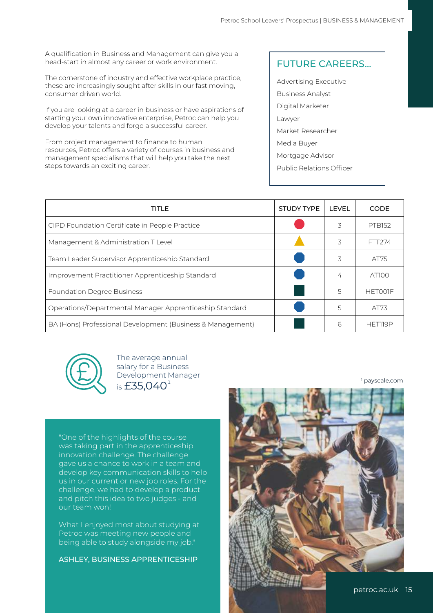A qualification in Business and Management can give you a head-start in almost any career or work environment.

The cornerstone of industry and effective workplace practice, these are increasingly sought after skills in our fast moving, consumer driven world.

If you are looking at a career in business or have aspirations of starting your own innovative enterprise, Petroc can help you develop your talents and forge a successful career.

From project management to finance to human resources, Petroc offers a variety of courses in business and management specialisms that will help you take the next steps towards an exciting career.

#### FUTURE CAREERS...

Advertising Executive Business Analyst Digital Marketer Lawyer Market Researcher Media Buyer Mortgage Advisor Public Relations Officer

| TITLE                                                      | <b>STUDY TYPE</b> | <b>LEVEL</b> | <b>CODE</b>    |
|------------------------------------------------------------|-------------------|--------------|----------------|
| CIPD Foundation Certificate in People Practice             |                   | 3            | <b>PTB152</b>  |
| Management & Administration T Level                        |                   | 3            | FTT274         |
| Team Leader Supervisor Apprenticeship Standard             |                   | 3            | AT75           |
| Improvement Practitioner Apprenticeship Standard           |                   | 4            | AT100          |
| <b>Foundation Degree Business</b>                          |                   | 5            | <b>HETOOIF</b> |
| Operations/Departmental Manager Apprenticeship Standard    |                   | 5            | AT73           |
| BA (Hons) Professional Development (Business & Management) |                   | 6            | HET119P        |



is  $£35,040^1$ The average annual salary for a Business Development Manager

1 payscale.com

"One of the highlights of the course was taking part in the apprenticeship innovation challenge. The challenge gave us a chance to work in a team and develop key communication skills to help us in our current or new job roles. For the challenge, we had to develop a product and pitch this idea to two judges - and our team won!

What I enjoyed most about studying at Petroc was meeting new people and being able to study alongside my job."

ASHLEY, BUSINESS APPRENTICESHIP

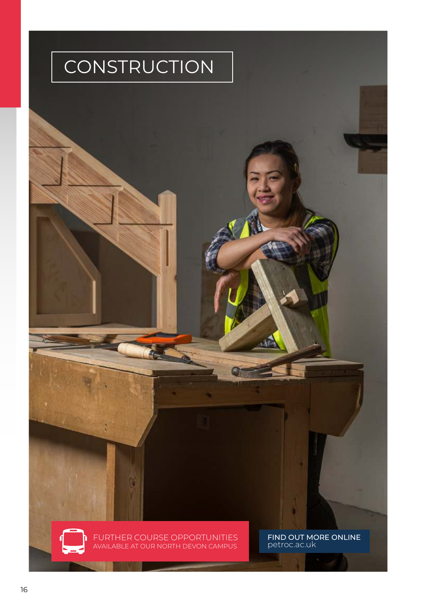

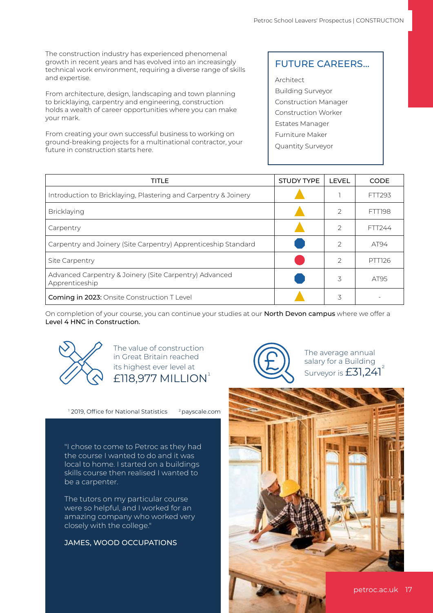The construction industry has experienced phenomenal growth in recent years and has evolved into an increasingly technical work environment, requiring a diverse range of skills and expertise.

From architecture, design, landscaping and town planning to bricklaying, carpentry and engineering, construction holds a wealth of career opportunities where you can make your mark.

From creating your own successful business to working on ground-breaking projects for a multinational contractor, your future in construction starts here.

#### FUTURE CAREERS...

**Architect** Building Surveyor Construction Manager Construction Worker Estates Manager Furniture Maker Quantity Surveyor

| TITLE                                                                    | <b>STUDY TYPE</b> | LEVEL         | <b>CODE</b>   |
|--------------------------------------------------------------------------|-------------------|---------------|---------------|
| Introduction to Bricklaying, Plastering and Carpentry & Joinery          |                   |               | FTT293        |
| Bricklaying                                                              |                   | 2             | <b>FTT198</b> |
| Carpentry                                                                |                   | $\mathcal{P}$ | FTT244        |
| Carpentry and Joinery (Site Carpentry) Apprenticeship Standard           |                   | $\mathcal{P}$ | AT94          |
| Site Carpentry                                                           |                   | $\mathcal{P}$ | PTT126        |
| Advanced Carpentry & Joinery (Site Carpentry) Advanced<br>Apprenticeship |                   | 3             | AT95          |
| Coming in 2023: Onsite Construction T Level                              |                   | 3             |               |

On completion of your course, you can continue your studies at our North Devon campus where we offer a Level 4 HNC in Construction.



The value of construction in Great Britain reached its highest ever level at  $£118,977$  MILLION<sup> $<sup>1</sup>$ </sup></sup>

<sup>1</sup> 2019, Office for National Statistics <sup>2</sup> payscale.com

"I chose to come to Petroc as they had the course I wanted to do and it was local to home. I started on a buildings skills course then realised I wanted to be a carpenter.

The tutors on my particular course were so helpful, and I worked for an amazing company who worked very closely with the college."

#### JAMES, WOOD OCCUPATIONS



The average annual salary for a Building Surveyor is £31,241

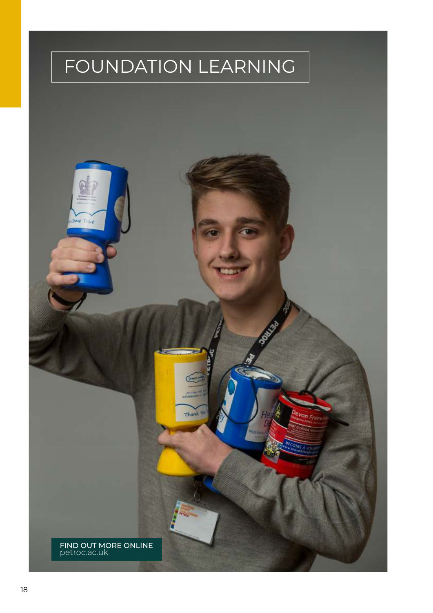# FOUNDATION LEARNING

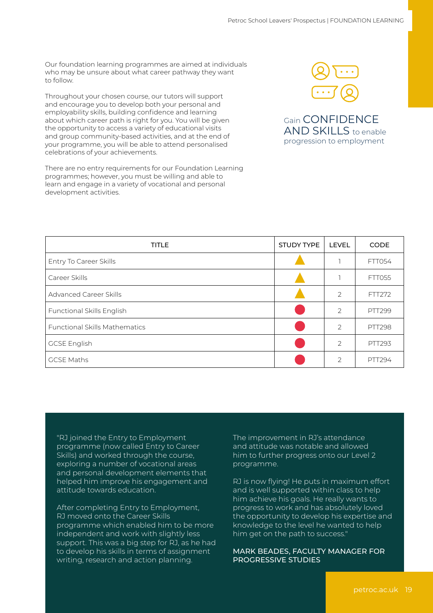Our foundation learning programmes are aimed at individuals who may be unsure about what career pathway they want to follow.

Throughout your chosen course, our tutors will support and encourage you to develop both your personal and employability skills, building confidence and learning about which career path is right for you. You will be given the opportunity to access a variety of educational visits and group community-based activities, and at the end of your programme, you will be able to attend personalised celebrations of your achievements.

There are no entry requirements for our Foundation Learning programmes; however, you must be willing and able to learn and engage in a variety of vocational and personal development activities.



Gain CONFIDENCE AND SKILLS to enable progression to employment

| <b>TITLE</b>                         | <b>STUDY TYPE</b> | <b>LEVEL</b>   | <b>CODE</b>   |
|--------------------------------------|-------------------|----------------|---------------|
| Entry To Career Skills               |                   |                | <b>FTT054</b> |
| Career Skills                        |                   |                | FTT055        |
| <b>Advanced Career Skills</b>        |                   | $\overline{2}$ | FTT272        |
| <b>Functional Skills English</b>     |                   | $\overline{2}$ | <b>PTT299</b> |
| <b>Functional Skills Mathematics</b> |                   | $\overline{2}$ | <b>PTT298</b> |
| <b>GCSE English</b>                  |                   | $\overline{2}$ | <b>PTT293</b> |
| <b>GCSE Maths</b>                    |                   | $\mathcal{P}$  | PTT294        |

"RJ joined the Entry to Employment programme (now called Entry to Career Skills) and worked through the course, exploring a number of vocational areas and personal development elements that helped him improve his engagement and attitude towards education.

After completing Entry to Employment, RJ moved onto the Career Skills programme which enabled him to be more independent and work with slightly less support. This was a big step for RJ, as he had to develop his skills in terms of assignment writing, research and action planning.

The improvement in RJ's attendance and attitude was notable and allowed him to further progress onto our Level 2 programme.

RJ is now flying! He puts in maximum effort and is well supported within class to help him achieve his goals. He really wants to progress to work and has absolutely loved the opportunity to develop his expertise and knowledge to the level he wanted to help him get on the path to success."

#### MARK BEADES, FACULTY MANAGER FOR PROGRESSIVE STUDIES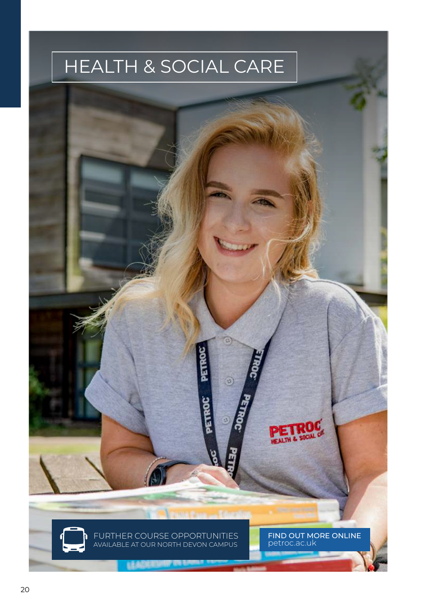# HEALTH & SOCIAL CARE

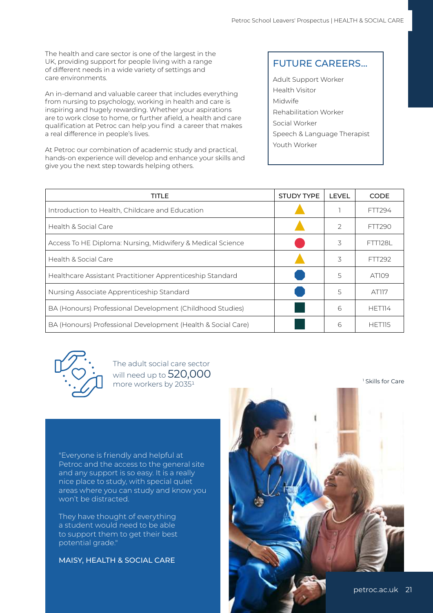The health and care sector is one of the largest in the UK, providing support for people living with a range of different needs in a wide variety of settings and care environments.

An in-demand and valuable career that includes everything from nursing to psychology, working in health and care is inspiring and hugely rewarding. Whether your aspirations are to work close to home, or further afield, a health and care qualification at Petroc can help you find a career that makes a real difference in people's lives.

At Petroc our combination of academic study and practical, hands-on experience will develop and enhance your skills and give you the next step towards helping others.

#### FUTURE CAREERS...

Adult Support Worker Health Visitor Midwife Rehabilitation Worker Social Worker Speech & Language Therapist Youth Worker

| TITLE                                                        | <b>STUDY TYPE</b> | <b>LEVEL</b>   | <b>CODE</b>    |
|--------------------------------------------------------------|-------------------|----------------|----------------|
| Introduction to Health, Childcare and Education              |                   |                | FTT294         |
| Health & Social Care                                         |                   | $\overline{2}$ | FTT290         |
| Access To HE Diploma: Nursing, Midwifery & Medical Science   |                   | 3              | <b>FTT128L</b> |
| Health & Social Care                                         |                   | 3              | FTT292         |
| Healthcare Assistant Practitioner Apprenticeship Standard    |                   | 5              | AT109          |
| Nursing Associate Apprenticeship Standard                    |                   | 5              | AT117          |
| BA (Honours) Professional Development (Childhood Studies)    |                   | 6              | HET114         |
| BA (Honours) Professional Development (Health & Social Care) |                   | 6              | HET115         |



The adult social care sector will need up to 520,000 more workers by 20351

"Everyone is friendly and helpful at Petroc and the access to the general site and any support is so easy. It is a really nice place to study, with special quiet areas where you can study and know you won't be distracted.

They have thought of everything a student would need to be able to support them to get their best potential grade."

MAISY, HEALTH & SOCIAL CARE



1 Skills for Care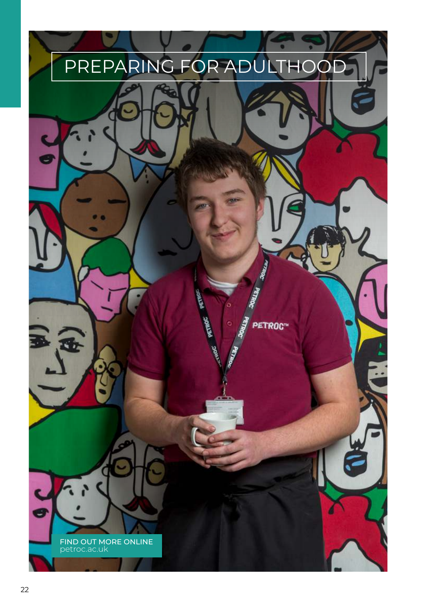

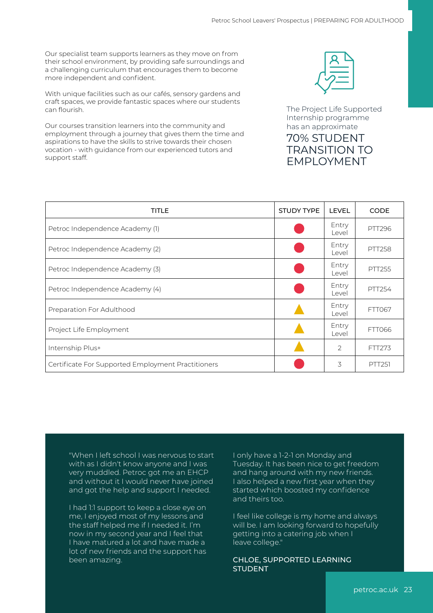Our specialist team supports learners as they move on from their school environment, by providing safe surroundings and a challenging curriculum that encourages them to become more independent and confident.

With unique facilities such as our cafés, sensory gardens and craft spaces, we provide fantastic spaces where our students can flourish.

Our courses transition learners into the community and employment through a journey that gives them the time and aspirations to have the skills to strive towards their chosen vocation - with guidance from our experienced tutors and support staff.



The Project Life Supported Internship programme has an approximate

#### 70% STUDENT TRANSITION TO EMPLOYMENT

| <b>TITLE</b>                                       | <b>STUDY TYPE</b> | <b>LEVEL</b>   | <b>CODE</b>   |
|----------------------------------------------------|-------------------|----------------|---------------|
| Petroc Independence Academy (1)                    |                   | Entry<br>Level | <b>PTT296</b> |
| Petroc Independence Academy (2)                    |                   | Entry<br>Level | <b>PTT258</b> |
| Petroc Independence Academy (3)                    |                   | Entry<br>Level | <b>PTT255</b> |
| Petroc Independence Academy (4)                    |                   | Entry<br>Level | PTT254        |
| Preparation For Adulthood                          |                   | Entry<br>Level | FTT067        |
| Project Life Employment                            |                   | Entry<br>Level | <b>FTT066</b> |
| Internship Plus+                                   |                   | $\overline{2}$ | FTT273        |
| Certificate For Supported Employment Practitioners |                   | 3              | <b>PTT251</b> |

"When I left school I was nervous to start with as I didn't know anyone and I was very muddled. Petroc got me an EHCP and without it I would never have joined and got the help and support I needed.

I had 1:1 support to keep a close eye on me, I enjoyed most of my lessons and the staff helped me if I needed it. I'm now in my second year and I feel that I have matured a lot and have made a lot of new friends and the support has been amazing.

I only have a 1-2-1 on Monday and Tuesday. It has been nice to get freedom and hang around with my new friends. I also helped a new first year when they started which boosted my confidence and theirs too.

I feel like college is my home and always will be. I am looking forward to hopefully getting into a catering job when I leave college."

#### CHLOE, SUPPORTED LEARNING STUDENT